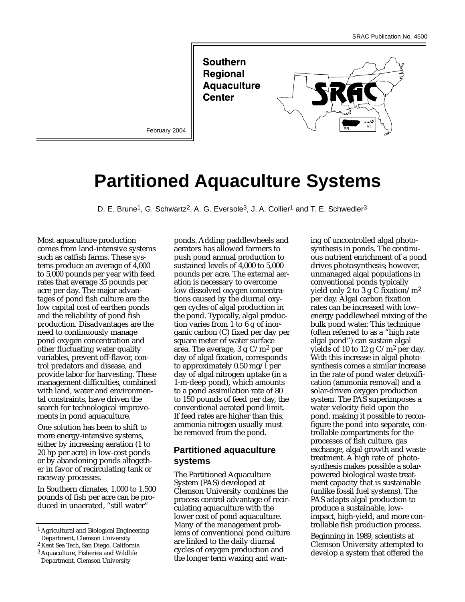**Southern Regional Aquaculture Center** 

February 2004



# **Partitioned Aquaculture Systems**

D. E. Brune<sup>1</sup>, G. Schwartz<sup>2</sup>, A. G. Eversole<sup>3</sup>, J. A. Collier<sup>1</sup> and T. E. Schwedler<sup>3</sup>

Most aquaculture production comes from land-intensive systems such as catfish farms. These systems produce an average of 4,000 to 5,000 pounds per year with feed rates that average 35 pounds per acre per day. The major advantages of pond fish culture are the low capital cost of earthen ponds and the reliability of pond fish production. Disadvantages are the need to continuously manage pond oxygen concentration and other fluctuating water quality variables, prevent off-flavor, control predators and disease, and provide labor for harvesting. These management difficulties, combined with land, water and environmental constraints, have driven the search for technological improvements in pond aquaculture.

One solution has been to shift to more energy-intensive systems, either by increasing aeration (1 to 20 hp per acre) in low-cost ponds or by abandoning ponds altogether in favor of recirculating tank or raceway processes.

In Southern climates, 1,000 to 1,500 pounds of fish per acre can be produced in unaerated, "still water"

ponds. Adding paddlewheels and aerators has allowed farmers to push pond annual production to sustained levels of 4,000 to 5,000 pounds per acre. The external aeration is necessary to overcome low dissolved oxygen concentrations caused by the diurnal oxygen cycles of algal production in the pond. Typically, algal production varies from 1 to 6 g of inorganic carbon (C) fixed per day per square meter of water surface area. The average, 3 g  $C/m^2$  per day of algal fixation, corresponds to approximately  $0.50$  mg/l per day of algal nitrogen uptake (in a 1-m-deep pond), which amounts to a pond assimilation rate of 80 to 150 pounds of feed per day, the conventional aerated pond limit. If feed rates are higher than this, ammonia nitrogen usually must be removed from the pond.

## **Partitioned aquaculture systems**

The Partitioned Aquaculture System (PAS) developed at Clemson University combines the process control advantage of recirculating aquaculture with the lower cost of pond aquaculture. Many of the management problems of conventional pond culture are linked to the daily diurnal cycles of oxygen production and the longer term waxing and waning of uncontrolled algal photosynthesis in ponds. The continuous nutrient enrichment of a pond drives photosynthesis; however, unmanaged algal populations in conventional ponds typically yield only 2 to 3 g C fixation/ $m^2$ per day. Algal carbon fixation rates can be increased with lowenergy paddlewheel mixing of the bulk pond water. This technique (often referred to as a "high rate algal pond") can sustain algal yields of 10 to 12 g  $C/m^2$  per day. With this increase in algal photosynthesis comes a similar increase in the rate of pond water detoxification (ammonia removal) and a solar-driven oxygen production system. The PAS superimposes a water velocity field upon the pond, making it possible to reconfigure the pond into separate, controllable compartments for the processes of fish culture, gas exchange, algal growth and waste treatment. A high rate of photosynthesis makes possible a solarpowered biological waste treatment capacity that is sustainable (unlike fossil fuel systems). The PAS adapts algal production to produce a sustainable, lowimpact, high-yield, and more controllable fish production process.

Beginning in 1989, scientists at Clemson University attempted to develop a system that offered the

<sup>1</sup> Agricultural and Biological Engineering Department, Clemson University

<sup>2</sup> Kent Sea Tech, San Diego, California

<sup>3</sup> Aquaculture, Fisheries and Wildlife Department, Clemson University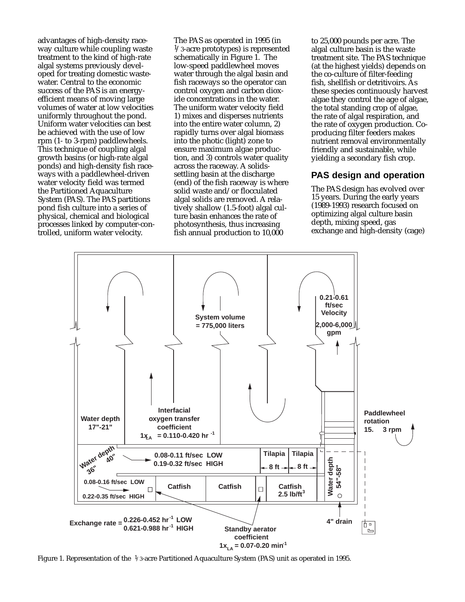advantages of high-density raceway culture while coupling waste treatment to the kind of high-rate algal systems previously developed for treating domestic wastewater. Central to the economic success of the PAS is an energyefficient means of moving large volumes of water at low velocities uniformly throughout the pond. Uniform water velocities can best be achieved with the use of low rpm (1- to 3-rpm) paddlewheels. This technique of coupling algal growth basins (or high-rate algal ponds) and high-density fish raceways with a paddlewheel-driven water velocity field was termed the Partitioned Aquaculture System (PAS). The PAS partitions pond fish culture into a series of physical, chemical and biological processes linked by computer-controlled, uniform water velocity.

The PAS as operated in 1995 (in  $\frac{1}{3}$ -acre prototypes) is represented schematically in Figure 1. The low-speed paddlewheel moves water through the algal basin and fish raceways so the operator can control oxygen and carbon dioxide concentrations in the water. The uniform water velocity field 1) mixes and disperses nutrients into the entire water column, 2) rapidly turns over algal biomass into the photic (light) zone to ensure maximum algae production, and 3) controls water quality across the raceway. A solidssettling basin at the discharge (end) of the fish raceway is where solid waste and/or flocculated algal solids are removed. A relatively shallow (1.5-foot) algal culture basin enhances the rate of photosynthesis, thus increasing fish annual production to 10,000

to 25,000 pounds per acre. The algal culture basin is the waste treatment site. The PAS technique (at the highest yields) depends on the co-culture of filter-feeding fish, shellfish or detritivoirs. As these species continuously harvest algae they control the age of algae, the total standing crop of algae, the rate of algal respiration, and the rate of oxygen production. Coproducing filter feeders makes nutrient removal environmentally friendly and sustainable, while yielding a secondary fish crop.

## **PAS design and operation**

The PAS design has evolved over 15 years. During the early years (1989-1993) research focused on optimizing algal culture basin depth, mixing speed, gas exchange and high-density (cage)



Figure 1. Representation of the 1/3-acre Partitioned Aquaculture System (PAS) unit as operated in 1995.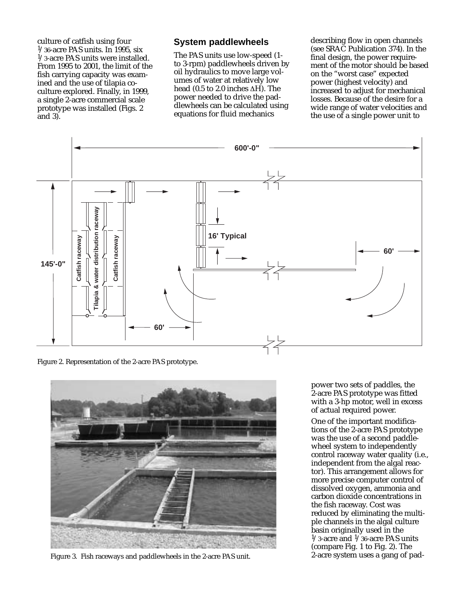culture of catfish using four  $1/36$ -acre PAS units. In 1995, six 1/3-acre PAS units were installed. From 1995 to 2001, the limit of the fish carrying capacity was examined and the use of tilapia coculture explored. Finally, in 1999, a single 2-acre commercial scale prototype was installed (Figs. 2 and 3).

#### **System paddlewheels**

The PAS units use low-speed (1 to 3-rpm) paddlewheels driven by oil hydraulics to move large volumes of water at relatively low head (0.5 to 2.0 inches ∆H). The power needed to drive the paddlewheels can be calculated using equations for fluid mechanics

describing flow in open channels (see SRAC Publication 374). In the final design, the power requirement of the motor should be based on the "worst case" expected power (highest velocity) and increased to adjust for mechanical losses. Because of the desire for a wide range of water velocities and the use  $\sigma$  a single power unit to



Figure 2. Representation of the 2-acre PAS prototype.



Figure 3. Fish raceways and paddlewheels in the 2-acre PAS unit.

power two sets of paddles, the 2-acre PAS prototype was fitted with a 3-hp motor, well in excess of actual required power.

One of the important modifications of the 2-acre PAS prototype was the use of a second paddlewheel system to independently control raceway water quality (i.e., independent from the algal reactor). This arrangement allows for more precise computer control of dissolved oxygen, ammonia and carbon dioxide concentrations in the fish raceway. Cost was reduced by eliminating the multiple channels in the algal culture basin originally used in the  $1/3$ -acre and  $1/36$ -acre PAS units (compare Fig. 1 to Fig. 2). The 2-acre system uses a gang of pad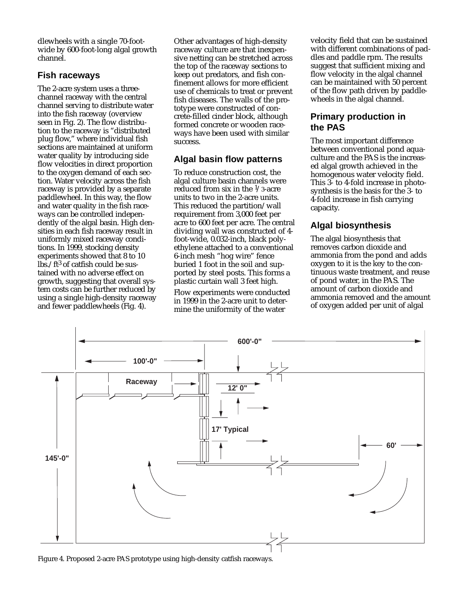dlewheels with a single 70-footwide by 600-foot-long algal growth channel.

## **Fish raceways**

The 2-acre system uses a threechannel raceway with the central channel serving to distribute water into the fish raceway (overview seen in Fig. 2). The flow distribution to the raceway is "distributed plug flow," where individual fish sections are maintained at uniform water quality by introducing side flow velocities in direct proportion to the oxygen demand of each section. Water velocity across the fish raceway is provided by a separate paddlewheel. In this way, the flow and water quality in the fish raceways can be controlled independently of the algal basin. High densities in each fish raceway result in uniformly mixed raceway conditions. In 1999, stocking density experiments showed that 8 to 10  $\ln 2$ /ft<sup>3</sup> of catfish could be sustained with no adverse effect on growth, suggesting that overall system costs can be further reduced by using a single high-density raceway and fewer paddlewheels (Fig. 4).

Other advantages of high-density raceway culture are that inexpensive netting can be stretched across the top of the raceway sections to keep out predators, and fish confinement allows for more efficient use of chemicals to treat or prevent fish diseases. The walls of the prototype were constructed of concrete-filled cinder block, although formed concrete or wooden raceways have been used with similar success.

# **Algal basin flow patterns**

To reduce construction cost, the algal culture basin channels were reduced from six in the  $\frac{1}{3}$ -acre units to two in the 2-acre units. This reduced the partition/wall requirement from 3,000 feet per acre to 600 feet per acre. The central dividing wall was constructed of 4 foot-wide, 0.032-inch, black polyethylene attached to a conventional 6-inch mesh "hog wire" fence buried 1 foot in the soil and supported by steel posts. This forms a plastic curtain wall 3 feet high.

Flow experiments were conducted in 1999 in the 2-acre unit to determine the uniformity of the water

velocity field that can be sustained with different combinations of paddles and paddle rpm. The results suggest that sufficient mixing and flow velocity in the algal channel can be maintained with 50 percent of the flow path driven by paddlewheels in the algal channel.

# **Primary production in the PAS**

The most important difference between conventional pond aquaculture and the PAS is the increased algal growth achieved in the homogenous water velocity field. This 3- to 4-fold increase in photosynthesis is the basis for the 3- to 4-fold increase in fish carrying capacity.

# **Algal biosynthesis**

The algal biosynthesis that removes carbon dioxide and ammonia from the pond and adds oxygen to it is the key to the continuous waste treatment, and reuse of pond water, in the PAS. The amount of carbon dioxide and ammonia removed and the amount of oxygen added per unit of algal



Figure 4. Proposed 2-acre PAS prototype using high-density catfish raceways.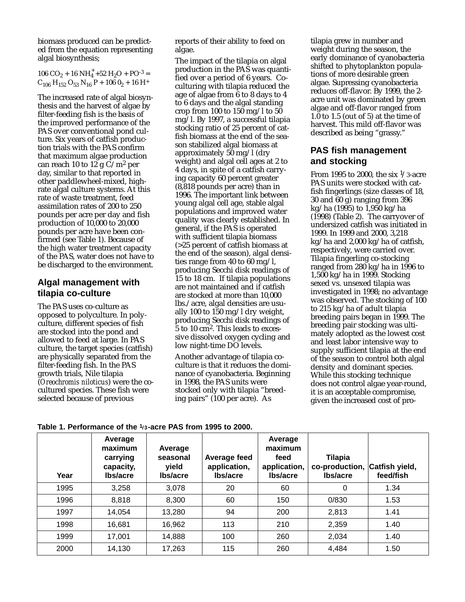biomass produced can be predicted from the equation representing algal biosynthesis;

106 CO<sub>2</sub> + 16 NH<sub>4</sub><sup>+</sup> +52 H<sub>2</sub>O + PO<sup>-3</sup> =  $C_{106}$  H<sub>152</sub> O<sub>53</sub> N<sub>16</sub> P + 106 0<sub>2</sub> + 16 H<sup>+</sup>

The increased rate of algal biosynthesis and the harvest of algae by filter-feeding fish is the basis of the improved performance of the PAS over conventional pond culture. Six years of catfish production trials with the PAS confirm that maximum algae production can reach 10 to 12 g  $C/m^2$  per day, similar to that reported in other paddlewheel-mixed, highrate algal culture systems. At this rate of waste treatment, feed assimilation rates of 200 to 250 pounds per acre per day and fish production of 10,000 to 20,000 pounds per acre have been confirmed (see Table 1). Because of the high water treatment capacity of the PAS, water does not have to be discharged to the environment.

## **Algal management with tilapia co-culture**

The PAS uses co-culture as opposed to polyculture. In polyculture, different species of fish are stocked into the pond and allowed to feed at large. In PAS culture, the target species (catfish) are physically separated from the filter-feeding fish. In the PAS growth trials, Nile tilapia (*Oreochromis niloticus*) were the cocultured species. These fish were selected because of previous

reports of their ability to feed on algae.

The impact of the tilapia on algal production in the PAS was quantified over a period of 6 years. Coculturing with tilapia reduced the age of algae from 6 to 8 days to 4 to 6 days and the algal standing crop from 100 to 150 mg/l to 50 mg/l. By 1997, a successful tilapia stocking ratio of 25 percent of catfish biomass at the end of the season stabilized algal biomass at approximately 50 mg/l (dry weight) and algal cell ages at 2 to 4 days, in spite of a catfish carrying capacity 60 percent greater (8,818 pounds per acre) than in 1996. The important link between young algal cell age, stable algal populations and improved water quality was clearly established. In general, if the PAS is operated with sufficient tilapia biomass (>25 percent of catfish biomass at the end of the season), algal densities range from 40 to 60 mg/l, producing Secchi disk readings of 15 to 18 cm. If tilapia populations are not maintained and if catfish are stocked at more than 10,000 lbs./acre, algal densities are usually 100 to 150 mg/l dry weight, producing Secchi disk readings of 5 to 10 cm2. This leads to excessive dissolved oxygen cycling and low night-time DO levels.

Another advantage of tilapia coculture is that it reduces the dominance of cyanobacteria. Beginning in 1998, the PAS units were stocked only with tilapia "breeding pairs" (100 per acre). As

tilapia grew in number and weight during the season, the early dominance of cyanobacteria shifted to phytoplankton populations of more desirable green algae. Supressing cyanobacteria reduces off-flavor. By 1999, the 2 acre unit was dominated by green algae and off-flavor ranged from  $1.\overline{0}$  to  $1.5$  (out of 5) at the time of harvest. This mild off-flavor was described as being "grassy."

## **PAS fish management and stocking**

From 1995 to 2000, the six  $\frac{1}{3}$ -acre PAS units were stocked with catfish fingerlings (size classes of 18, 30 and 60 g) ranging from 396 kg/ha (1995) to 1,950 kg/ha (1998) (Table 2). The carryover of undersized catfish was initiated in 1999. In 1999 and 2000, 3,218 kg/ha and 2,000 kg/ha of catfish, respectively, were carried over. Tilapia fingerling co-stocking ranged from 280 kg/ha in 1996 to 1,500 kg/ha in 1999. Stocking sexed vs. unsexed tilapia was investigated in 1998; no advantage was observed. The stocking of 100 to 215 kg/ha of adult tilapia breeding pairs began in 1999. The breeding pair stocking was ultimately adopted as the lowest cost and least labor intensive way to supply sufficient tilapia at the end of the season to control both algal density and dominant species. While this stocking technique does not control algae year-round, it is an acceptable compromise, given the increased cost of pro-

**Table 1. Performance of the 1/3-acre PAS from 1995 to 2000.**

| Year | Average<br>maximum<br>carrying<br>capacity,<br><b>Ibs/acre</b> | Average<br>seasonal<br>yield<br><b>Ibs/acre</b> | Average feed<br>application,<br>lbs/acre | Average<br>maximum<br>feed<br>application,<br><b>Ibs/acre</b> | <b>Tilapia</b><br>co-production,<br><b>Ibs/acre</b> | Catfish yield,<br>feed/fish |
|------|----------------------------------------------------------------|-------------------------------------------------|------------------------------------------|---------------------------------------------------------------|-----------------------------------------------------|-----------------------------|
| 1995 | 3,258                                                          | 3,078                                           | 20                                       | 60                                                            | 0                                                   | 1.34                        |
| 1996 | 8,818                                                          | 8,300                                           | 60                                       | 150                                                           | 0/830                                               | 1.53                        |
| 1997 | 14,054                                                         | 13,280                                          | 94                                       | 200                                                           | 2,813                                               | 1.41                        |
| 1998 | 16,681                                                         | 16,962                                          | 113                                      | 210                                                           | 2,359                                               | 1.40                        |
| 1999 | 17,001                                                         | 14,888                                          | 100                                      | 260                                                           | 2,034                                               | 1.40                        |
| 2000 | 14,130                                                         | 17,263                                          | 115                                      | 260                                                           | 4,484                                               | 1.50                        |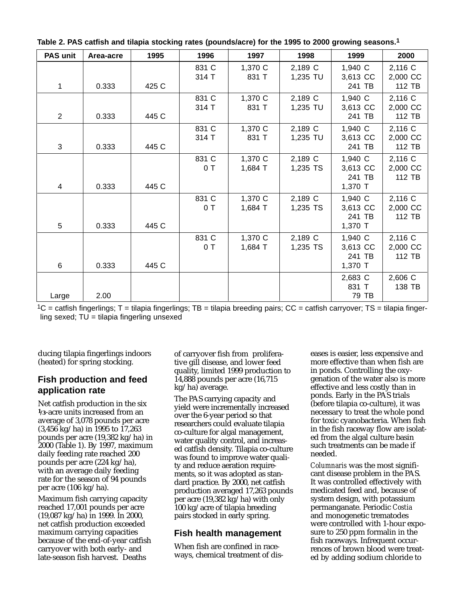| PAS unit       | Area-acre | 1995  | 1996           | 1997               | 1998                | 1999                                     | 2000                          |
|----------------|-----------|-------|----------------|--------------------|---------------------|------------------------------------------|-------------------------------|
| 1              | 0.333     | 425 C | 831 C<br>314 T | 1,370 C<br>831 T   | 2,189 C<br>1,235 TU | 1,940 C<br>3,613 CC<br>241 TB            | 2,116 C<br>2,000 CC<br>112 TB |
| $\overline{2}$ | 0.333     | 445 C | 831 C<br>314 T | 1,370 C<br>831 T   | 2,189 C<br>1,235 TU | 1,940 C<br>3,613 CC<br>241 TB            | 2,116 C<br>2,000 CC<br>112 TB |
| 3              | 0.333     | 445 C | 831 C<br>314 T | 1,370 C<br>831 T   | 2,189 C<br>1,235 TU | 1,940 C<br>3,613 CC<br>241 TB            | 2,116 C<br>2,000 CC<br>112 TB |
| 4              | 0.333     | 445 C | 831 C<br>0T    | 1,370 C<br>1,684 T | 2,189 C<br>1,235 TS | 1,940 C<br>3,613 CC<br>241 TB<br>1,370 T | 2,116 C<br>2,000 CC<br>112 TB |
| 5              | 0.333     | 445 C | 831 C<br>0T    | 1,370 C<br>1,684 T | 2,189 C<br>1,235 TS | 1,940 C<br>3,613 CC<br>241 TB<br>1,370 T | 2,116 C<br>2,000 CC<br>112 TB |
| 6              | 0.333     | 445 C | 831 C<br>0T    | 1,370 C<br>1,684 T | 2,189 C<br>1,235 TS | 1,940 C<br>3,613 CC<br>241 TB<br>1,370 T | 2,116 C<br>2,000 CC<br>112 TB |
| Large          | 2.00      |       |                |                    |                     | 2,683 C<br>831 T<br>79 TB                | 2,606 C<br>138 TB             |

**Table 2. PAS catfish and tilapia stocking rates (pounds/acre) for the 1995 to 2000 growing seasons.1**

 $1C =$  catfish fingerlings; T = tilapia fingerlings; TB = tilapia breeding pairs; CC = catfish carryover; TS = tilapia fingerling sexed;  $TU = tilapia$  fingerling unsexed

ducing tilapia fingerlings indoors (heated) for spring stocking.

## **Fish production and feed application rate**

Net catfish production in the six **1/3**-acre units increased from an average of 3,078 pounds per acre (3,456 kg/ha) in 1995 to 17,263 pounds per acre (19,382 kg/ha) in 2000 (Table 1). By 1997, maximum daily feeding rate reached 200 pounds per acre (224 kg/ha), with an average daily feeding rate for the season of 94 pounds per acre (106 kg/ha).

Maximum fish carrying capacity reached 17,001 pounds per acre (19,087 kg/ha) in 1999. In 2000, net catfish production exceeded maximum carrying capacities because of the end-of-year catfish carryover with both early- and late-season fish harvest. Deaths

of carryover fish from proliferative gill disease, and lower feed quality, limited 1999 production to 14,888 pounds per acre (16,715 kg/ha) average.

The PAS carrying capacity and yield were incrementally increased over the 6-year period so that researchers could evaluate tilapia co-culture for algal management, water quality control, and increased catfish density. Tilapia co-culture was found to improve water quality and reduce aeration requirements, so it was adopted as standard practice. By 2000, net catfish production averaged 17,263 pounds per acre (19,382 kg/ha) with only 100 kg/acre of tilapia breeding pairs stocked in early spring.

## **Fish health management**

When fish are confined in raceways, chemical treatment of diseases is easier, less expensive and more effective than when fish are in ponds. Controlling the oxygenation of the water also is more effective and less costly than in ponds. Early in the PAS trials (before tilapia co-culture), it was necessary to treat the whole pond for toxic cyanobacteria. When fish in the fish raceway flow are isolated from the algal culture basin such treatments can be made if needed.

*Columnaris* was the most significant disease problem in the PAS. It was controlled effectively with medicated feed and, because of system design, with potassium permanganate. Periodic *Costia* and monogenetic trematodes were controlled with 1-hour exposure to 250 ppm formalin in the fish raceways. Infrequent occurrences of brown blood were treated by adding sodium chloride to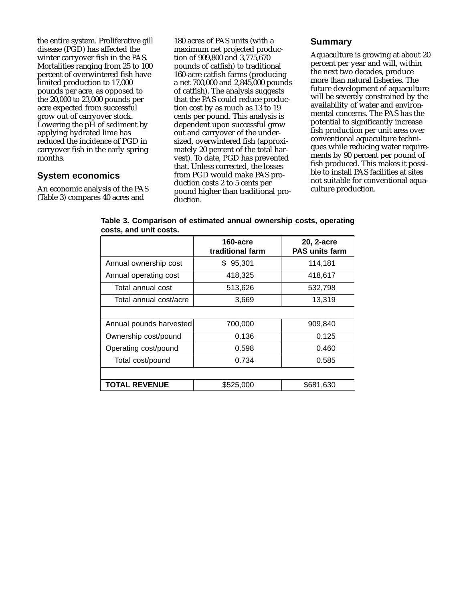the entire system. Proliferative gill disease (PGD) has affected the winter carryover fish in the PAS. Mortalities ranging from 25 to 100 percent of overwintered fish have limited production to 17,000 pounds per acre, as opposed to the 20,000 to 23,000 pounds per acre expected from successful grow out of carryover stock. Lowering the pH of sediment by applying hydrated lime has reduced the incidence of PGD in carryover fish in the early spring months.

## **System economics**

An economic analysis of the PAS (Table 3) compares 40 acres and

180 acres of PAS units (with a maximum net projected production of 909,800 and 3,775,670 pounds of catfish) to traditional 160-acre catfish farms (producing a net 700,000 and 2,845,000 pounds of catfish). The analysis suggests that the PAS could reduce production cost by as much as 13 to 19 cents per pound. This analysis is dependent upon successful grow out and carryover of the undersized, overwintered fish (approximately 20 percent of the total harvest). To date, PGD has prevented that. Unless corrected, the losses from PGD would make PAS production costs 2 to 5 cents per pound higher than traditional production.

## **Summary**

Aquaculture is growing at about 20 percent per year and will, within the next two decades, produce more than natural fisheries. The future development of aquaculture will be severely constrained by the availability of water and environmental concerns. The PAS has the potential to significantly increase fish production per unit area over conventional aquaculture techniques while reducing water requirements by 90 percent per pound of fish produced. This makes it possible to install PAS facilities at sites not suitable for conventional aquaculture production.

|                         | 160-acre<br>traditional farm | 20, 2-acre<br><b>PAS units farm</b> |
|-------------------------|------------------------------|-------------------------------------|
| Annual ownership cost   | 95,301<br>\$.                | 114,181                             |
| Annual operating cost   | 418,325                      | 418,617                             |
| Total annual cost       | 513,626                      | 532,798                             |
| Total annual cost/acre  | 3,669                        | 13,319                              |
|                         |                              |                                     |
| Annual pounds harvested | 700,000                      | 909,840                             |
| Ownership cost/pound    | 0.136                        | 0.125                               |
| Operating cost/pound    | 0.598                        | 0.460                               |
| Total cost/pound        | 0.734                        | 0.585                               |
|                         |                              |                                     |
| <b>TOTAL REVENUE</b>    | \$525,000                    | \$681,630                           |

**Table 3. Comparison of estimated annual ownership costs, operating costs, and unit costs.**